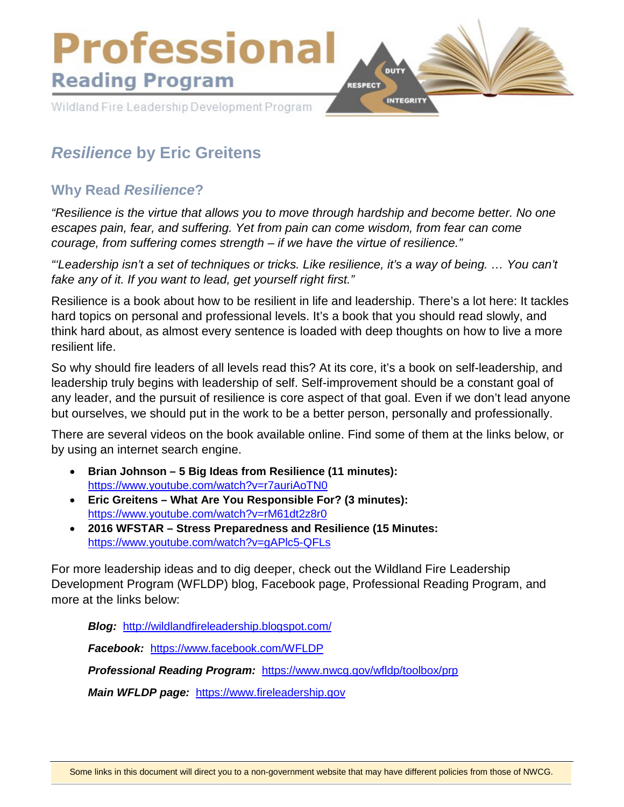

# *Resilience* **by Eric Greitens**

# **Why Read** *Resilience***?**

*"Resilience is the virtue that allows you to move through hardship and become better. No one escapes pain, fear, and suffering. Yet from pain can come wisdom, from fear can come courage, from suffering comes strength – if we have the virtue of resilience."*

*"'Leadership isn't a set of techniques or tricks. Like resilience, it's a way of being. … You can't fake any of it. If you want to lead, get yourself right first."*

Resilience is a book about how to be resilient in life and leadership. There's a lot here: It tackles hard topics on personal and professional levels. It's a book that you should read slowly, and think hard about, as almost every sentence is loaded with deep thoughts on how to live a more resilient life.

So why should fire leaders of all levels read this? At its core, it's a book on self-leadership, and leadership truly begins with leadership of self. Self-improvement should be a constant goal of any leader, and the pursuit of resilience is core aspect of that goal. Even if we don't lead anyone but ourselves, we should put in the work to be a better person, personally and professionally.

There are several videos on the book available online. Find some of them at the links below, or by using an internet search engine.

- **Brian Johnson 5 Big Ideas from Resilience (11 minutes):**  <https://www.youtube.com/watch?v=r7auriAoTN0>
- **Eric Greitens What Are You Responsible For? (3 minutes):**  <https://www.youtube.com/watch?v=rM61dt2z8r0>
- **2016 WFSTAR Stress Preparedness and Resilience (15 Minutes:** <https://www.youtube.com/watch?v=gAPlc5-QFLs>

For more leadership ideas and to dig deeper, check out the Wildland Fire Leadership Development Program (WFLDP) blog, Facebook page, Professional Reading Program, and more at the links below:

*Blog:* <http://wildlandfireleadership.blogspot.com/>

*Facebook:* <https://www.facebook.com/WFLDP>

*Professional Reading Program:* <https://www.nwcg.gov/wfldp/toolbox/prp>

*Main WFLDP page:* [https://www.fireleadership.gov](https://www.fireleadership.gov/)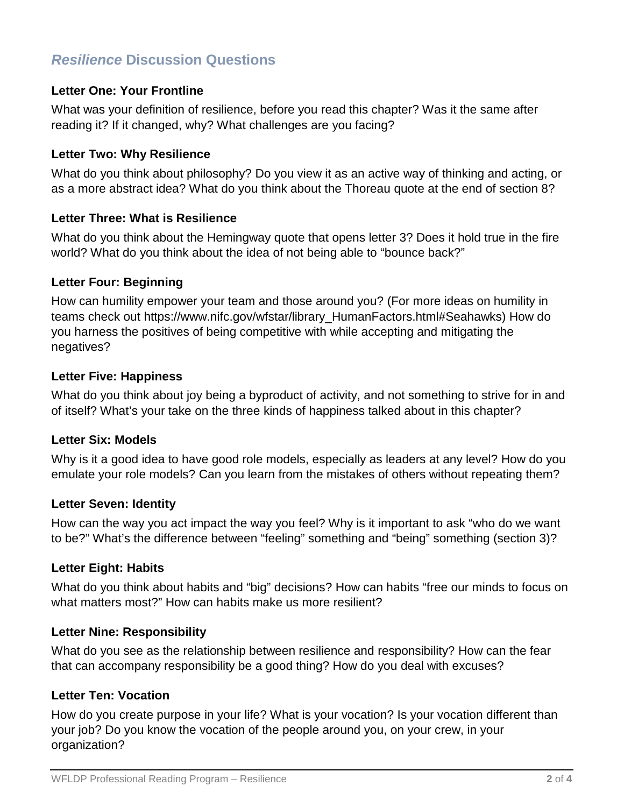# *Resilience* **Discussion Questions**

# **Letter One: Your Frontline**

What was your definition of resilience, before you read this chapter? Was it the same after reading it? If it changed, why? What challenges are you facing?

### **Letter Two: Why Resilience**

What do you think about philosophy? Do you view it as an active way of thinking and acting, or as a more abstract idea? What do you think about the Thoreau quote at the end of section 8?

# **Letter Three: What is Resilience**

What do you think about the Hemingway quote that opens letter 3? Does it hold true in the fire world? What do you think about the idea of not being able to "bounce back?"

# **Letter Four: Beginning**

How can humility empower your team and those around you? (For more ideas on humility in teams check out https://www.nifc.gov/wfstar/library\_HumanFactors.html#Seahawks) How do you harness the positives of being competitive with while accepting and mitigating the negatives?

# **Letter Five: Happiness**

What do you think about joy being a byproduct of activity, and not something to strive for in and of itself? What's your take on the three kinds of happiness talked about in this chapter?

#### **Letter Six: Models**

Why is it a good idea to have good role models, especially as leaders at any level? How do you emulate your role models? Can you learn from the mistakes of others without repeating them?

#### **Letter Seven: Identity**

How can the way you act impact the way you feel? Why is it important to ask "who do we want to be?" What's the difference between "feeling" something and "being" something (section 3)?

# **Letter Eight: Habits**

What do you think about habits and "big" decisions? How can habits "free our minds to focus on what matters most?" How can habits make us more resilient?

#### **Letter Nine: Responsibility**

What do you see as the relationship between resilience and responsibility? How can the fear that can accompany responsibility be a good thing? How do you deal with excuses?

# **Letter Ten: Vocation**

How do you create purpose in your life? What is your vocation? Is your vocation different than your job? Do you know the vocation of the people around you, on your crew, in your organization?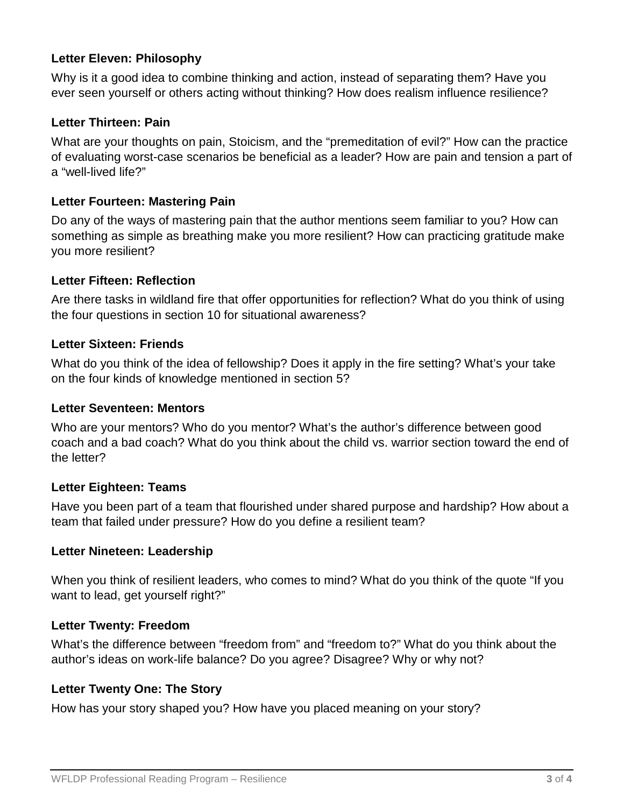# **Letter Eleven: Philosophy**

Why is it a good idea to combine thinking and action, instead of separating them? Have you ever seen yourself or others acting without thinking? How does realism influence resilience?

### **Letter Thirteen: Pain**

What are your thoughts on pain, Stoicism, and the "premeditation of evil?" How can the practice of evaluating worst-case scenarios be beneficial as a leader? How are pain and tension a part of a "well-lived life?"

### **Letter Fourteen: Mastering Pain**

Do any of the ways of mastering pain that the author mentions seem familiar to you? How can something as simple as breathing make you more resilient? How can practicing gratitude make you more resilient?

#### **Letter Fifteen: Reflection**

Are there tasks in wildland fire that offer opportunities for reflection? What do you think of using the four questions in section 10 for situational awareness?

# **Letter Sixteen: Friends**

What do you think of the idea of fellowship? Does it apply in the fire setting? What's your take on the four kinds of knowledge mentioned in section 5?

#### **Letter Seventeen: Mentors**

Who are your mentors? Who do you mentor? What's the author's difference between good coach and a bad coach? What do you think about the child vs. warrior section toward the end of the letter?

#### **Letter Eighteen: Teams**

Have you been part of a team that flourished under shared purpose and hardship? How about a team that failed under pressure? How do you define a resilient team?

#### **Letter Nineteen: Leadership**

When you think of resilient leaders, who comes to mind? What do you think of the quote "If you want to lead, get yourself right?"

#### **Letter Twenty: Freedom**

What's the difference between "freedom from" and "freedom to?" What do you think about the author's ideas on work-life balance? Do you agree? Disagree? Why or why not?

# **Letter Twenty One: The Story**

How has your story shaped you? How have you placed meaning on your story?